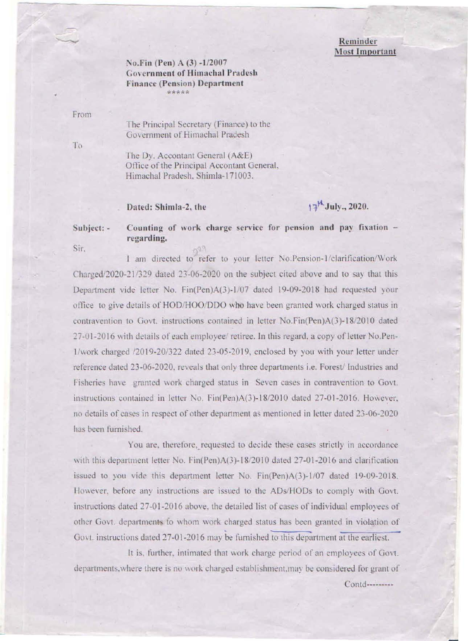## Reminder **Most Important**

## No.Fin (Pen) A (3) -1/2007 **Government of Himachal Pradesh Finance (Pension) Department** 53355

From

To

The Principal Secretary (Finance) to the Government of Himachal Pradesh

The Dy. Accontant General (A&E) Office of the Principal Accontant General, Himachal Pradesh, Shimla-171003.

## Dated: Shimla-2, the

# $17^{\frac{1}{2}}$ July., 2020.

### Counting of work charge service for pension and pay fixation -Subject: regarding. Sir.

I am directed to refer to your letter No.Pension-1/clarification/Work Charged/2020-21/329 dated 23-06-2020 on the subject cited above and to say that this Department vide letter No. Fin(Pen)A(3)-1/07 dated 19-09-2018 had requested your office to give details of HOD/HOO/DDO who have been granted work charged status in contravention to Govt. instructions contained in letter No.Fin(Pen)A(3)-18/2010 dated 27-01-2016 with details of each employee/ retiree. In this regard, a copy of letter No.Pen-1/work charged /2019-20/322 dated 23-05-2019, enclosed by you with your letter under reference dated 23-06-2020, reveals that only three departments i.e. Forest/ Industries and Fisheries have granted work charged status in Seven cases in contravention to Govt. instructions contained in letter No. Fin(Pen)A(3)-18/2010 dated 27-01-2016. However, no details of cases in respect of other department as mentioned in letter dated 23-06-2020 has been furnished.

You are, therefore, requested to decide these cases strictly in accordance with this department letter No. Fin(Pen)A(3)-18/2010 dated 27-01-2016 and clarification issued to you vide this department letter No. Fin(Pen)A(3)-1/07 dated 19-09-2018. However, before any instructions are issued to the ADs/HODs to comply with Govt. instructions dated 27-01-2016 above, the detailed list of cases of individual employees of other Govt. departments to whom work charged status has been granted in violation of Govt. instructions dated 27-01-2016 may be furnished to this department at the earliest.

It is, further, intimated that work charge period of an employees of Govt. departments, where there is no work charged establishment, may be considered for grant of

Contd---------